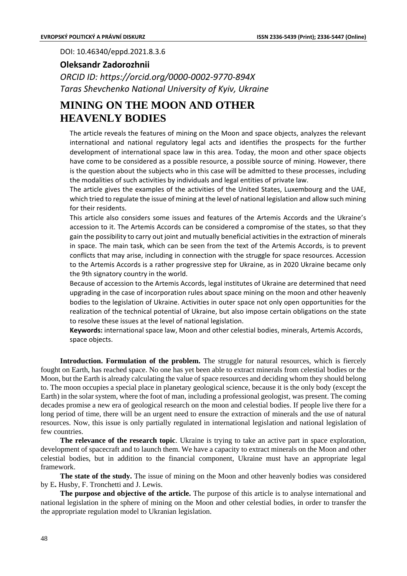DOI: 10.46340/eppd.2021.8.3.6

## **Оleksandr Zadorozhnii**

*ORCID ID: https://orcid.org/0000-0002-9770-894X Taras Shevchenko National University of Kyiv, Ukraine*

## **MINING ON THE MOON AND OTHER HEAVENLY BODIES**

The article reveals the features of mining on the Moon and space objects, analyzes the relevant international and national regulatory legal acts and identifies the prospects for the further development of international space law in this area. Today, the moon and other space objects have come to be considered as a possible resource, a possible source of mining. However, there is the question about the subjects who in this case will be admitted to these processes, including the modalities of such activities by individuals and legal entities of private law.

The article gives the examples of the activities of the United States, Luxembourg and the UAE, which tried to regulate the issue of mining at the level of national legislation and allow such mining for their residents.

This article also considers some issues and features of the Artemis Accords and the Ukraine's accession to it. The Artemis Accords can be considered a compromise of the states, so that they gain the possibility to carry out joint and mutually beneficial activities in the extraction of minerals in space. The main task, which can be seen from the text of the Artemis Accords, is to prevent conflicts that may arise, including in connection with the struggle for space resources. Accession to the Artemis Accords is a rather progressive step for Ukraine, as in 2020 Ukraine became only the 9th signatory country in the world.

Because of accession to the Artemis Accords, legal institutes of Ukraine are determined that need upgrading in the case of incorporation rules about space mining on the moon and other heavenly bodies to the legislation of Ukraine. Activities in outer space not only open opportunities for the realization of the technical potential of Ukraine, but also impose certain obligations on the state to resolve these issues at the level of national legislation.

**Keywords:** international space law, Moon and other celestial bodies, minerals, Artemis Accords, space objects.

**Introduction. Formulation of the problem.** The struggle for natural resources, which is fiercely fought on Earth, has reached space. No one has yet been able to extract minerals from celestial bodies or the Moon, but the Earth is already calculating the value of space resources and deciding whom they should belong to. The moon occupies a special place in planetary geological science, because it is the only body (except the Earth) in the solar system, where the foot of man, including a professional geologist, was present. The coming decades promise a new era of geological research on the moon and celestial bodies. If people live there for a long period of time, there will be an urgent need to ensure the extraction of minerals and the use of natural resources. Now, this issue is only partially regulated in international legislation and national legislation of few countries.

**The relevance of the research topic**. Ukraine is trying to take an active part in space exploration, development of spacecraft and to launch them. We have a capacity to extract minerals on the Moon and other celestial bodies, but in addition to the financial component, Ukraine must have an appropriate legal framework.

**The state of the study.** The issue of mining on the Moon and other heavenly bodies was considered by E**.** Husby, F. Tronchetti and J. Lewis.

**The purpose and objective of the article.** The purpose of this article is to analyse international and national legislation in the sphere of mining on the Moon and other celestial bodies, in order to transfer the the appropriate regulation model to Ukranian legislation.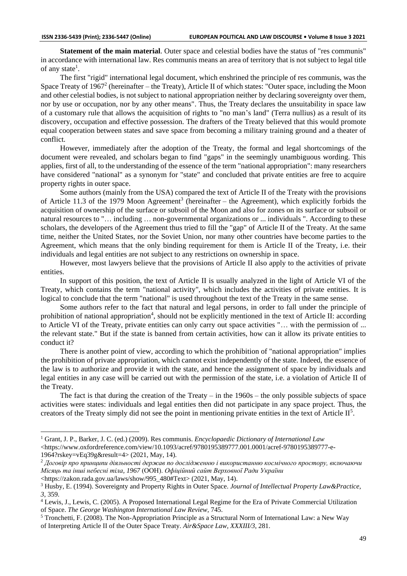**Statement of the main material**. Outer space and celestial bodies have the status of "res communis" in accordance with international law. Res communis means an area of territory that is not subject to legal title of any state<sup>1</sup>.

The first "rigid" international legal document, which enshrined the principle of res communis, was the Space Treaty of 1967<sup>2</sup> (hereinafter – the Treaty), Article II of which states: "Outer space, including the Moon and other celestial bodies, is not subject to national appropriation neither by declaring sovereignty over them, nor by use or occupation, nor by any other means". Thus, the Treaty declares the unsuitability in space law of a customary rule that allows the acquisition of rights to "no man's land" (Terra nullius) as a result of its discovery, occupation and effective possession. The drafters of the Treaty believed that this would promote equal cooperation between states and save space from becoming a military training ground and a theater of conflict.

However, immediately after the adoption of the Treaty, the formal and legal shortcomings of the document were revealed, and scholars began to find "gaps" in the seemingly unambiguous wording. This applies, first of all, to the understanding of the essence of the term "national appropriation": many researchers have considered "national" as a synonym for "state" and concluded that private entities are free to acquire property rights in outer space.

Some authors (mainly from the USA) compared the text of Article II of the Treaty with the provisions of Article 11.3 of the 1979 Moon Agreement<sup>3</sup> (hereinafter – the Agreement), which explicitly forbids the acquisition of ownership of the surface or subsoil of the Moon and also for zones on its surface or subsoil or natural resources to "… including … non-governmental organizations or ... individuals ". According to these scholars, the developers of the Agreement thus tried to fill the "gap" of Article II of the Treaty. At the same time, neither the United States, nor the Soviet Union, nor many other countries have become parties to the Agreement, which means that the only binding requirement for them is Article II of the Treaty, i.e. their individuals and legal entities are not subject to any restrictions on ownership in space.

However, most lawyers believe that the provisions of Article II also apply to the activities of private entities.

In support of this position, the text of Article II is usually analyzed in the light of Article VI of the Treaty, which contains the term "national activity", which includes the activities of private entities. It is logical to conclude that the term "national" is used throughout the text of the Treaty in the same sense.

Some authors refer to the fact that natural and legal persons, in order to fall under the principle of prohibition of national appropriation<sup>4</sup>, should not be explicitly mentioned in the text of Article II: according to Article VI of the Treaty, private entities can only carry out space activities "… with the permission of ... the relevant state." But if the state is banned from certain activities, how can it allow its private entities to conduct it?

There is another point of view, according to which the prohibition of "national appropriation" implies the prohibition of private appropriation, which cannot exist independently of the state. Indeed, the essence of the law is to authorize and provide it with the state, and hence the assignment of space by individuals and legal entities in any case will be carried out with the permission of the state, i.e. a violation of Article II of the Treaty.

The fact is that during the creation of the Treaty – in the  $1960s$  – the only possible subjects of space activities were states: individuals and legal entities then did not participate in any space project. Thus, the creators of the Treaty simply did not see the point in mentioning private entities in the text of Article  $II<sup>5</sup>$ .

<sup>1</sup> Grant, J. P., Barker, J. C. (ed.) (2009). Res communis. *Encyclopaedic Dictionary of International Law* <https://www.oxfordreference.com/view/10.1093/acref/9780195389777.001.0001/acref-9780195389777-e-

<sup>1964?</sup>rskey=vEq39g&result=4> (2021, May, 14).

<sup>2</sup> *Договір про принципи діяльності держав по дослідженню і використанню космічного простору, включаючи Місяць та інші небесні тіла, 1967* (ООН). *Офіційний сайт Верховної Ради України*

<sup>&</sup>lt;https://zakon.rada.gov.ua/laws/show/995\_480#Text> (2021, May, 14).

<sup>3</sup> Husby, E. (1994). Sovereignty and Property Rights in Outer Space. *Journal of Intellectual Property Law&Practice, 3*, 359.

<sup>4</sup> Lewis, J., Lewis, C. (2005). A Proposed International Legal Regime for the Era of Private Commercial Utilization of Space. *The George Washington International Law Review,* 745.

<sup>5</sup> Tronchetti, F. (2008). The Non-Appropriation Principle as a Structural Norm of International Law: a New Way of Interpreting Article II of the Outer Space Treaty. *Air&Space Law, XXXIII/3*, 281.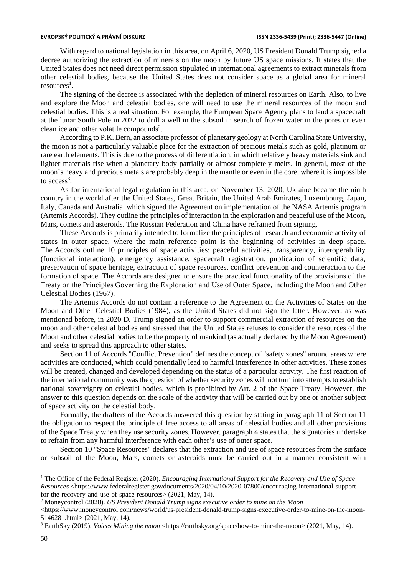With regard to national legislation in this area, on April 6, 2020, US President Donald Trump signed a decree authorizing the extraction of minerals on the moon by future US space missions. It states that the United States does not need direct permission stipulated in international agreements to extract minerals from other celestial bodies, because the United States does not consider space as a global area for mineral resources<sup>1</sup>.

The signing of the decree is associated with the depletion of mineral resources on Earth. Also, to live and explore the Moon and celestial bodies, one will need to use the mineral resources of the moon and celestial bodies. This is a real situation. For example, the European Space Agency plans to land a spacecraft at the lunar South Pole in 2022 to drill a well in the subsoil in search of frozen water in the pores or even clean ice and other volatile compounds<sup>2</sup>.

According to P.K. Bern, an associate professor of planetary geology at North Carolina State University, the moon is not a particularly valuable place for the extraction of precious metals such as gold, platinum or rare earth elements. This is due to the process of differentiation, in which relatively heavy materials sink and lighter materials rise when a planetary body partially or almost completely melts. In general, most of the moon's heavy and precious metals are probably deep in the mantle or even in the core, where it is impossible to  $access<sup>3</sup>$ .

As for international legal regulation in this area, on November 13, 2020, Ukraine became the ninth country in the world after the United States, Great Britain, the United Arab Emirates, Luxembourg, Japan, Italy, Canada and Australia, which signed the Agreement on implementation of the NASA Artemis program (Artemis Accords). They outline the principles of interaction in the exploration and peaceful use of the Moon, Mars, comets and asteroids. The Russian Federation and China have refrained from signing.

These Accords is primarily intended to formalize the principles of research and economic activity of states in outer space, where the main reference point is the beginning of activities in deep space. The Accords outline 10 principles of space activities: peaceful activities, transparency, interoperability (functional interaction), emergency assistance, spacecraft registration, publication of scientific data, preservation of space heritage, extraction of space resources, conflict prevention and counteraction to the formation of space. The Accords are designed to ensure the practical functionality of the provisions of the Treaty on the Principles Governing the Exploration and Use of Outer Space, including the Moon and Other Celestial Bodies (1967).

The Artemis Accords do not contain a reference to the Agreement on the Activities of States on the Moon and Other Celestial Bodies (1984), as the United States did not sign the latter. However, as was mentionad before, in 2020 D. Trump signed an order to support commercial extraction of resources on the moon and other celestial bodies and stressed that the United States refuses to consider the resources of the Moon and other celestial bodies to be the property of mankind (as actually declared by the Moon Agreement) and seeks to spread this approach to other states.

Section 11 of Accords "Conflict Prevention" defines the concept of "safety zones" around areas where activities are conducted, which could potentially lead to harmful interference in other activities. These zones will be created, changed and developed depending on the status of a particular activity. The first reaction of the international community was the question of whether security zones will not turn into attempts to establish national sovereignty on celestial bodies, which is prohibited by Art. 2 of the Space Treaty. However, the answer to this question depends on the scale of the activity that will be carried out by one or another subject of space activity on the celestial body.

Formally, the drafters of the Accords answered this question by stating in paragraph 11 of Section 11 the obligation to respect the principle of free access to all areas of celestial bodies and all other provisions of the Space Treaty when they use security zones. However, paragraph 4 states that the signatories undertake to refrain from any harmful interference with each other's use of outer space.

Section 10 "Space Resources" declares that the extraction and use of space resources from the surface or subsoil of the Moon, Mars, comets or asteroids must be carried out in a manner consistent with

<sup>1</sup> The Office of the Federal Register (2020). *Encouraging International Support for the Recovery and Use of Space Resources* <https://www.federalregister.gov/documents/2020/04/10/2020-07800/encouraging-international-supportfor-the-recovery-and-use-of-space-resources> (2021, May, 14).

<sup>2</sup> Moneycontrol (2020). *US President Donald Trump signs executive order to mine on the Moon*

 $\lt$ https://www.moneycontrol.com/news/world/us-president-donald-trump-signs-executive-order-to-mine-on-the-moon-5146281.html> (2021, May, 14).

<sup>&</sup>lt;sup>3</sup> EarthSky (2019). *Voices Mining the moon* <https://earthsky.org/space/how-to-mine-the-moon> (2021, May, 14).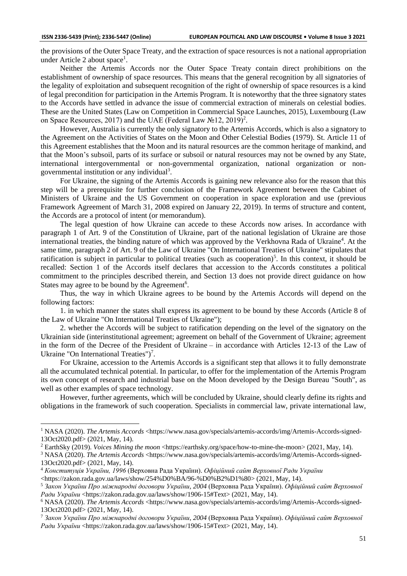the provisions of the Outer Space Treaty, and the extraction of space resources is not a national appropriation under Article 2 about space<sup>1</sup>.

Neither the Artemis Accords nor the Outer Space Treaty contain direct prohibitions on the establishment of ownership of space resources. This means that the general recognition by all signatories of the legality of exploitation and subsequent recognition of the right of ownership of space resources is a kind of legal precondition for participation in the Artemis Program. It is noteworthy that the three signatory states to the Accords have settled in advance the issue of commercial extraction of minerals on celestial bodies. These are the United States (Law on Competition in Commercial Space Launches, 2015), Luxembourg (Law on Space Resources, 2017) and the UAE (Federal Law  $\text{N}$ <sup>0</sup>12, 2019)<sup>2</sup>.

However, Australia is currently the only signatory to the Artemis Accords, which is also a signatory to the Agreement on the Activities of States on the Moon and Other Celestial Bodies (1979). St. Article 11 of this Agreement establishes that the Moon and its natural resources are the common heritage of mankind, and that the Moon's subsoil, parts of its surface or subsoil or natural resources may not be owned by any State, international intergovernmental or non-governmental organization, national organization or nongovernmental institution or any individual<sup>3</sup>.

For Ukraine, the signing of the Artemis Accords is gaining new relevance also for the reason that this step will be a prerequisite for further conclusion of the Framework Agreement between the Cabinet of Ministers of Ukraine and the US Government on cooperation in space exploration and use (previous Framework Agreement of March 31, 2008 expired on January 22, 2019). In terms of structure and content, the Accords are a protocol of intent (or memorandum).

The legal question of how Ukraine can accede to these Accords now arises. In accordance with paragraph 1 of Art. 9 of the Constitution of Ukraine, part of the national legislation of Ukraine are those international treaties, the binding nature of which was approved by the Verkhovna Rada of Ukraine<sup>4</sup>. At the same time, paragraph 2 of Art. 9 of the Law of Ukraine "On International Treaties of Ukraine" stipulates that ratification is subject in particular to political treaties (such as cooperation)<sup>5</sup>. In this context, it should be recalled: Section 1 of the Accords itself declares that accession to the Accords constitutes a political commitment to the principles described therein, and Section 13 does not provide direct guidance on how States may agree to be bound by the Agreement<sup>6</sup>.

Thus, the way in which Ukraine agrees to be bound by the Artemis Accords will depend on the following factors:

1. in which manner the states shall express its agreement to be bound by these Accords (Article 8 of the Law of Ukraine "On International Treaties of Ukraine");

2. whether the Accords will be subject to ratification depending on the level of the signatory on the Ukrainian side (interinstitutional agreement; agreement on behalf of the Government of Ukraine; agreement in the form of the Decree of the President of Ukraine – in accordance with Articles 12-13 of the Law of Ukraine "On International Treaties")<sup>7</sup>.

For Ukraine, accession to the Artemis Accords is a significant step that allows it to fully demonstrate all the accumulated technical potential. In particular, to offer for the implementation of the Artemis Program its own concept of research and industrial base on the Moon developed by the Design Bureau "South", as well as other examples of space technology.

However, further agreements, which will be concluded by Ukraine, should clearly define its rights and obligations in the framework of such cooperation. Specialists in commercial law, private international law,

<sup>7</sup> *Закон України Про міжнародні договори України, 2004* (Верховна Рада України). *Офіційний сайт Верховної Ради України* <https://zakon.rada.gov.ua/laws/show/1906-15#Text> (2021, May, 14).

<sup>&</sup>lt;sup>1</sup> NASA (2020). *The Artemis Accords* <https://www.nasa.gov/specials/artemis-accords/img/Artemis-Accords-signed-13Oct2020.pdf> (2021, May, 14).

<sup>&</sup>lt;sup>2</sup> EarthSky (2019). *Voices Mining the moon* <https://earthsky.org/space/how-to-mine-the-moon> (2021, May, 14).

<sup>&</sup>lt;sup>3</sup> NASA (2020). *The Artemis Accords* <https://www.nasa.gov/specials/artemis-accords/img/Artemis-Accords-signed-13Oct2020.pdf> (2021, May, 14).

<sup>4</sup> *Конституція України, 1996* (Верховна Рада України). *Офіційний сайт Верховної Ради України*

 $\lt$ https://zakon.rada.gov.ua/laws/show/254%D0%BA/96-%D0%B2%D1%80> (2021, May, 14).

<sup>5</sup> *Закон України Про міжнародні договори України, 2004* (Верховна Рада України). *Офіційний сайт Верховної Ради України* <https://zakon.rada.gov.ua/laws/show/1906-15#Text> (2021, May, 14).

<sup>6</sup> NASA (2020). *The Artemis Accords* <https://www.nasa.gov/specials/artemis-accords/img/Artemis-Accords-signed-13Oct2020.pdf> (2021, May, 14).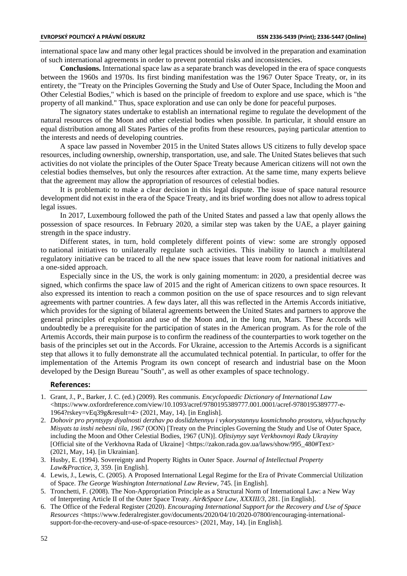international space law and many other legal practices should be involved in the preparation and examination of such international agreements in order to prevent potential risks and inconsistencies.

**Conclusions.** International space law as a separate branch was developed in the era of space conquests between the 1960s and 1970s. Its first binding manifestation was the 1967 Outer Space Treaty, or, in its entirety, the "Treaty on the Principles Governing the Study and Use of Outer Space, Including the Moon and Other Celestial Bodies," which is based on the principle of freedom to explore and use space, which is "the property of all mankind." Thus, space exploration and use can only be done for peaceful purposes.

The signatory states undertake to establish an international regime to regulate the development of the natural resources of the Moon and other celestial bodies when possible. In particular, it should ensure an equal distribution among all States Parties of the profits from these resources, paying particular attention to the interests and needs of developing countries.

A space law passed in November 2015 in the United States allows US citizens to fully develop space resources, including ownership, ownership, transportation, use, and sale. The United States believes that such activities do not violate the principles of the Outer Space Treaty because American citizens will not own the celestial bodies themselves, but only the resources after extraction. At the same time, many experts believe that the agreement may allow the appropriation of resources of celestial bodies.

It is problematic to make a clear decision in this legal dispute. The issue of space natural resource development did not exist in the era of the Space Treaty, and its brief wording does not allow to adress topical legal issues.

In 2017, Luxembourg followed the path of the United States and passed a law that openly allows the possession of space resources. In February 2020, a similar step was taken by the UAE, a player gaining strength in the space industry.

Different states, in turn, hold completely different points of view: some are strongly opposed to national initiatives to unilaterally regulate such activities. This inability to launch a multilateral regulatory initiative can be traced to all the new space issues that leave room for national initiatives and a one-sided approach.

Especially since in the US, the work is only gaining momentum: in 2020, a presidential decree was signed, which confirms the space law of 2015 and the right of American citizens to own space resources. It also expressed its intention to reach a common position on the use of space resources and to sign relevant agreements with partner countries. A few days later, all this was reflected in the Artemis Accords initiative, which provides for the signing of bilateral agreements between the United States and partners to approve the general principles of exploration and use of the Moon and, in the long run, Mars. These Accords will undoubtedly be a prerequisite for the participation of states in the American program. As for the role of the Artemis Accords, their main purpose is to confirm the readiness of the counterparties to work together on the basis of the principles set out in the Accords. For Ukraine, accession to the Artemis Accords is a significant step that allows it to fully demonstrate all the accumulated technical potential. In particular, to offer for the implementation of the Artemis Program its own concept of research and industrial base on the Moon developed by the Design Bureau "South", as well as other examples of space technology.

## **References:**

- 1. Grant, J., P., Barker, J. C. (ed.) (2009). Res communis. *Encyclopaedic Dictionary of International Law* <https://www.oxfordreference.com/view/10.1093/acref/9780195389777.001.0001/acref-9780195389777-e-1964?rskey=vEq39g&result=4> (2021, May, 14). [in English].
- 2. *Dohovir pro pryntsypy diyalnosti derzhav po doslidzhennyu i vykorystannyu kosmichnoho prostoru, vklyuchayuchy Misyats ta inshi nebesni tila, 1967* (OON) [Treaty on the Principles Governing the Study and Use of Outer Space, including the Moon and Other Celestial Bodies, 1967 (UN)]. *Ofitsiynyy sayt Verkhovnoyi Rady Ukrayiny*  [Official site of the Verkhovna Rada of Ukraine] <https://zakon.rada.gov.ua/laws/show/995\_480#Text> (2021, May, 14). [in Ukrainian].
- 3. Husby, E. (1994). Sovereignty and Property Rights in Outer Space. *Journal of Intellectual Property Law&Practice, 3*, 359. [in English].
- 4. Lewis, J., Lewis, C. (2005). A Proposed International Legal Regime for the Era of Private Commercial Utilization of Space. *The George Washington International Law Review,* 745. [in English].
- 5. Tronchetti, F. (2008). The Non-Appropriation Principle as a Structural Norm of International Law: a New Way of Interpreting Article II of the Outer Space Treaty. *Air&Space Law, XXXIII/3*, 281. [in English].
- 6. The Office of the Federal Register (2020). *Encouraging International Support for the Recovery and Use of Space Resources* [<https://www.federalregister.gov/documents/2020/04/10/2020-07800/encouraging-international](https://www.federalregister.gov/documents/2020/04/10/2020-07800/encouraging-international-support-for-the-recovery-and-use-of-space-resources)[support-for-the-recovery-and-use-of-space-resources>](https://www.federalregister.gov/documents/2020/04/10/2020-07800/encouraging-international-support-for-the-recovery-and-use-of-space-resources) (2021, May, 14). [in English].